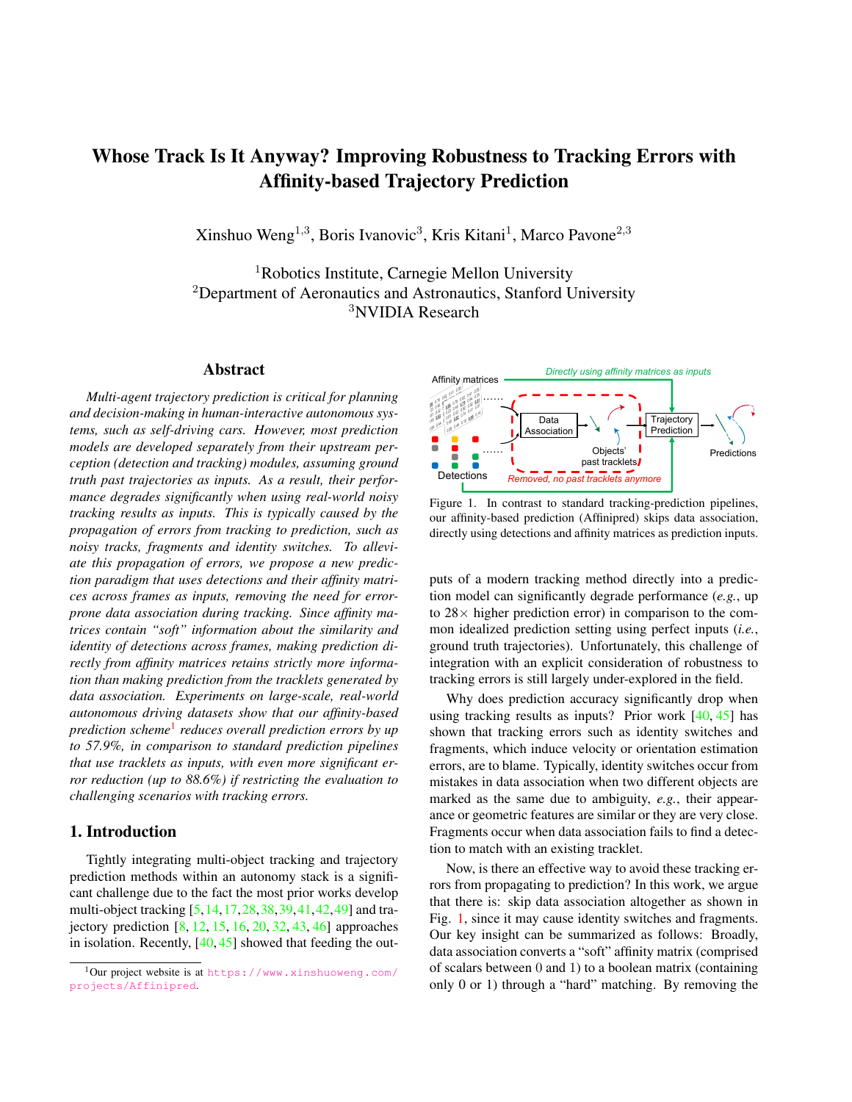# Whose Track Is It Anyway? Improving Robustness to Tracking Errors with Affinity-based Trajectory Prediction

Xinshuo Weng<sup>1,3</sup>, Boris Ivanovic<sup>3</sup>, Kris Kitani<sup>1</sup>, Marco Pavone<sup>2,3</sup>

<sup>1</sup>Robotics Institute, Carnegie Mellon University <sup>2</sup>Department of Aeronautics and Astronautics, Stanford University <sup>3</sup>NVIDIA Research

# Abstract

*Multi-agent trajectory prediction is critical for planning and decision-making in human-interactive autonomous systems, such as self-driving cars. However, most prediction models are developed separately from their upstream perception (detection and tracking) modules, assuming ground truth past trajectories as inputs. As a result, their performance degrades significantly when using real-world noisy tracking results as inputs. This is typically caused by the propagation of errors from tracking to prediction, such as noisy tracks, fragments and identity switches. To alleviate this propagation of errors, we propose a new prediction paradigm that uses detections and their affinity matrices across frames as inputs, removing the need for errorprone data association during tracking. Since affinity matrices contain "soft" information about the similarity and identity of detections across frames, making prediction directly from affinity matrices retains strictly more information than making prediction from the tracklets generated by data association. Experiments on large-scale, real-world autonomous driving datasets show that our affinity-based prediction scheme*<sup>1</sup> *reduces overall prediction errors by up to 57.9%, in comparison to standard prediction pipelines that use tracklets as inputs, with even more significant error reduction (up to 88.6%) if restricting the evaluation to challenging scenarios with tracking errors.*

# 1. Introduction

Tightly integrating multi-object tracking and trajectory prediction methods within an autonomy stack is a significant challenge due to the fact the most prior works develop multi-object tracking [5,14,17,28,38,39,41,42,49] and trajectory prediction [8, 12, 15, 16, 20, 32, 43, 46] approaches in isolation. Recently,  $[40, 45]$  showed that feeding the out-



Figure 1. In contrast to standard tracking-prediction pipelines, our affinity-based prediction (Affinipred) skips data association, directly using detections and affinity matrices as prediction inputs.

puts of a modern tracking method directly into a prediction model can significantly degrade performance (*e.g.*, up to  $28\times$  higher prediction error) in comparison to the common idealized prediction setting using perfect inputs (*i.e.*, ground truth trajectories). Unfortunately, this challenge of integration with an explicit consideration of robustness to tracking errors is still largely under-explored in the field.

Why does prediction accuracy significantly drop when using tracking results as inputs? Prior work  $[40, 45]$  has shown that tracking errors such as identity switches and fragments, which induce velocity or orientation estimation errors, are to blame. Typically, identity switches occur from mistakes in data association when two different objects are marked as the same due to ambiguity, *e.g.*, their appearance or geometric features are similar or they are very close. Fragments occur when data association fails to find a detection to match with an existing tracklet.

Now, is there an effective way to avoid these tracking errors from propagating to prediction? In this work, we argue that there is: skip data association altogether as shown in Fig. 1, since it may cause identity switches and fragments. Our key insight can be summarized as follows: Broadly, data association converts a "soft" affinity matrix (comprised of scalars between 0 and 1) to a boolean matrix (containing only 0 or 1) through a "hard" matching. By removing the

<sup>1</sup>Our project website is at https://www.xinshuoweng.com/ projects/Affinipred.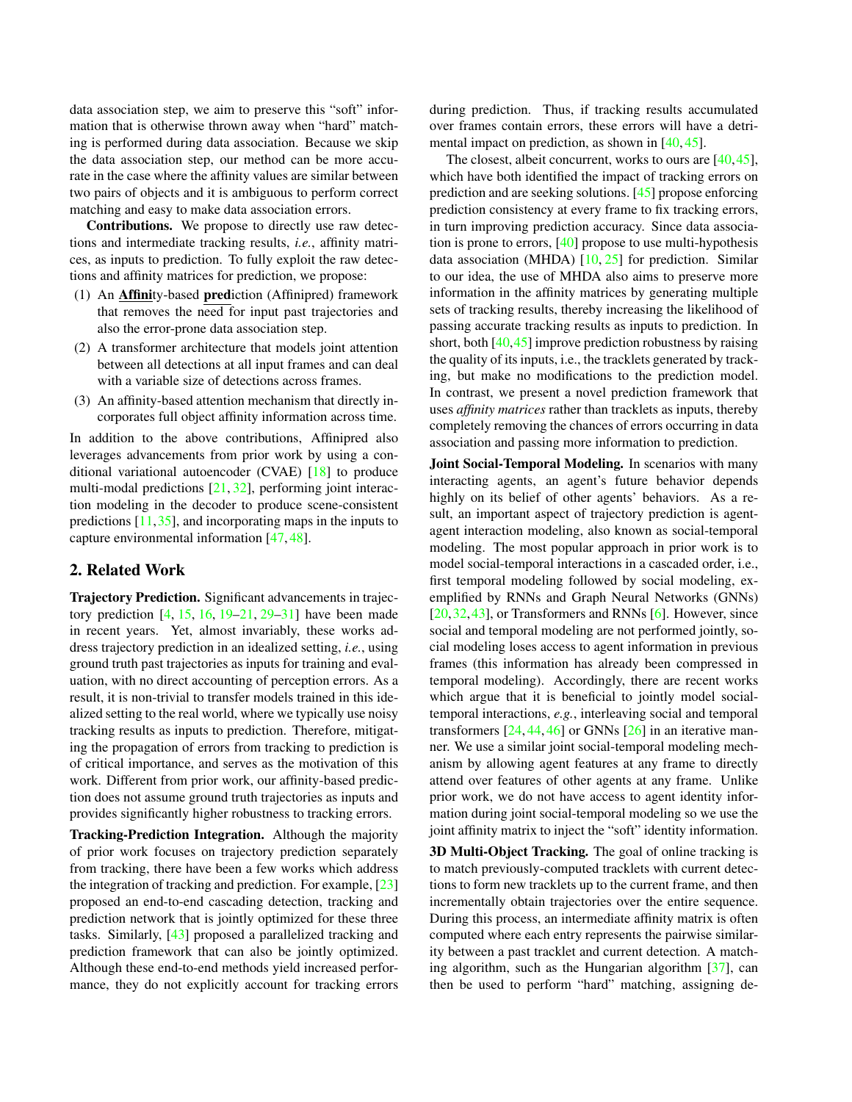data association step, we aim to preserve this "soft" information that is otherwise thrown away when "hard" matching is performed during data association. Because we skip the data association step, our method can be more accurate in the case where the affinity values are similar between two pairs of objects and it is ambiguous to perform correct matching and easy to make data association errors.

Contributions. We propose to directly use raw detections and intermediate tracking results, *i.e.*, affinity matrices, as inputs to prediction. To fully exploit the raw detections and affinity matrices for prediction, we propose:

- (1) An Affinity-based prediction (Affinipred) framework that removes the need for input past trajectories and also the error-prone data association step.
- (2) A transformer architecture that models joint attention between all detections at all input frames and can deal with a variable size of detections across frames.
- (3) An affinity-based attention mechanism that directly incorporates full object affinity information across time.

In addition to the above contributions, Affinipred also leverages advancements from prior work by using a conditional variational autoencoder (CVAE) [18] to produce multi-modal predictions [21, 32], performing joint interaction modeling in the decoder to produce scene-consistent predictions  $[11, 35]$ , and incorporating maps in the inputs to capture environmental information [47, 48].

# 2. Related Work

Trajectory Prediction. Significant advancements in trajectory prediction  $[4, 15, 16, 19-21, 29-31]$  have been made in recent years. Yet, almost invariably, these works address trajectory prediction in an idealized setting, *i.e.*, using ground truth past trajectories as inputs for training and evaluation, with no direct accounting of perception errors. As a result, it is non-trivial to transfer models trained in this idealized setting to the real world, where we typically use noisy tracking results as inputs to prediction. Therefore, mitigating the propagation of errors from tracking to prediction is of critical importance, and serves as the motivation of this work. Different from prior work, our affinity-based prediction does not assume ground truth trajectories as inputs and provides significantly higher robustness to tracking errors.

Tracking-Prediction Integration. Although the majority of prior work focuses on trajectory prediction separately from tracking, there have been a few works which address the integration of tracking and prediction. For example, [23] proposed an end-to-end cascading detection, tracking and prediction network that is jointly optimized for these three tasks. Similarly, [43] proposed a parallelized tracking and prediction framework that can also be jointly optimized. Although these end-to-end methods yield increased performance, they do not explicitly account for tracking errors during prediction. Thus, if tracking results accumulated over frames contain errors, these errors will have a detrimental impact on prediction, as shown in [40, 45].

The closest, albeit concurrent, works to ours are [40,45], which have both identified the impact of tracking errors on prediction and are seeking solutions. [45] propose enforcing prediction consistency at every frame to fix tracking errors, in turn improving prediction accuracy. Since data association is prone to errors, [40] propose to use multi-hypothesis data association (MHDA)  $[10, 25]$  for prediction. Similar to our idea, the use of MHDA also aims to preserve more information in the affinity matrices by generating multiple sets of tracking results, thereby increasing the likelihood of passing accurate tracking results as inputs to prediction. In short, both [40,45] improve prediction robustness by raising the quality of its inputs, i.e., the tracklets generated by tracking, but make no modifications to the prediction model. In contrast, we present a novel prediction framework that uses *affinity matrices* rather than tracklets as inputs, thereby completely removing the chances of errors occurring in data association and passing more information to prediction.

Joint Social-Temporal Modeling. In scenarios with many interacting agents, an agent's future behavior depends highly on its belief of other agents' behaviors. As a result, an important aspect of trajectory prediction is agentagent interaction modeling, also known as social-temporal modeling. The most popular approach in prior work is to model social-temporal interactions in a cascaded order, i.e., first temporal modeling followed by social modeling, exemplified by RNNs and Graph Neural Networks (GNNs) [20,32,43], or Transformers and RNNs [6]. However, since social and temporal modeling are not performed jointly, social modeling loses access to agent information in previous frames (this information has already been compressed in temporal modeling). Accordingly, there are recent works which argue that it is beneficial to jointly model socialtemporal interactions, *e.g.*, interleaving social and temporal transformers  $[24, 44, 46]$  or GNNs  $[26]$  in an iterative manner. We use a similar joint social-temporal modeling mechanism by allowing agent features at any frame to directly attend over features of other agents at any frame. Unlike prior work, we do not have access to agent identity information during joint social-temporal modeling so we use the joint affinity matrix to inject the "soft" identity information.

3D Multi-Object Tracking. The goal of online tracking is to match previously-computed tracklets with current detections to form new tracklets up to the current frame, and then incrementally obtain trajectories over the entire sequence. During this process, an intermediate affinity matrix is often computed where each entry represents the pairwise similarity between a past tracklet and current detection. A matching algorithm, such as the Hungarian algorithm [37], can then be used to perform "hard" matching, assigning de-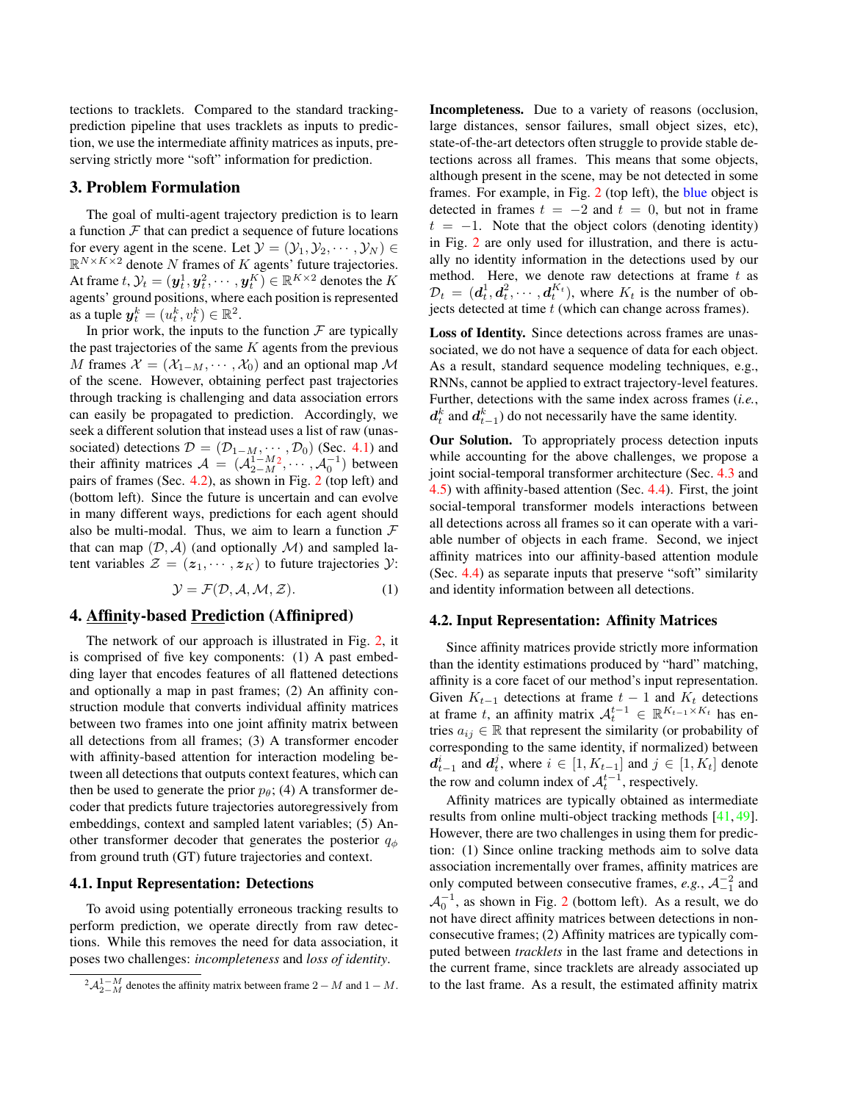tections to tracklets. Compared to the standard trackingprediction pipeline that uses tracklets as inputs to prediction, we use the intermediate affinity matrices as inputs, preserving strictly more "soft" information for prediction.

# 3. Problem Formulation

The goal of multi-agent trajectory prediction is to learn a function  $\mathcal F$  that can predict a sequence of future locations for every agent in the scene. Let  $\mathcal{Y} = (\mathcal{Y}_1, \mathcal{Y}_2, \cdots, \mathcal{Y}_N) \in$  $\mathbb{R}^{N \times K \times 2}$  denote N frames of K agents' future trajectories. At frame  $t,$   $\mathcal{Y}_t = (\boldsymbol{y}_t^1, \boldsymbol{y}_t^2, \cdots, \boldsymbol{y}_t^K) \in \mathbb{R}^{K \times 2}$  denotes the  $K$ agents' ground positions, where each position is represented as a tuple  $y_t^k = (u_t^k, v_t^k) \in \mathbb{R}^2$ .

In prior work, the inputs to the function  $\mathcal F$  are typically the past trajectories of the same  $K$  agents from the previous M frames  $\mathcal{X} = (\mathcal{X}_{1-M}, \cdots, \mathcal{X}_0)$  and an optional map M of the scene. However, obtaining perfect past trajectories through tracking is challenging and data association errors can easily be propagated to prediction. Accordingly, we seek a different solution that instead uses a list of raw (unassociated) detections  $\mathcal{D} = (\mathcal{D}_{1-M}, \cdots, \mathcal{D}_0)$  (Sec. 4.1) and their affinity matrices  $A = (A_{2-M}^{1-M2}, \cdots, A_0^{-1})$  between pairs of frames (Sec. 4.2), as shown in Fig. 2 (top left) and (bottom left). Since the future is uncertain and can evolve in many different ways, predictions for each agent should also be multi-modal. Thus, we aim to learn a function  $\mathcal F$ that can map  $(D, \mathcal{A})$  (and optionally  $\mathcal{M}$ ) and sampled latent variables  $\mathcal{Z} = (z_1, \dots, z_K)$  to future trajectories  $\mathcal{Y}$ :

$$
\mathcal{Y} = \mathcal{F}(\mathcal{D}, \mathcal{A}, \mathcal{M}, \mathcal{Z}).
$$
 (1)

# 4. Affinity-based Prediction (Affinipred)

The network of our approach is illustrated in Fig. 2, it is comprised of five key components: (1) A past embedding layer that encodes features of all flattened detections and optionally a map in past frames; (2) An affinity construction module that converts individual affinity matrices between two frames into one joint affinity matrix between all detections from all frames; (3) A transformer encoder with affinity-based attention for interaction modeling between all detections that outputs context features, which can then be used to generate the prior  $p_{\theta}$ ; (4) A transformer decoder that predicts future trajectories autoregressively from embeddings, context and sampled latent variables; (5) Another transformer decoder that generates the posterior  $q_{\phi}$ from ground truth (GT) future trajectories and context.

### 4.1. Input Representation: Detections

To avoid using potentially erroneous tracking results to perform prediction, we operate directly from raw detections. While this removes the need for data association, it poses two challenges: *incompleteness* and *loss of identity*.

Incompleteness. Due to a variety of reasons (occlusion, large distances, sensor failures, small object sizes, etc), state-of-the-art detectors often struggle to provide stable detections across all frames. This means that some objects, although present in the scene, may be not detected in some frames. For example, in Fig. 2 (top left), the blue object is detected in frames  $t = -2$  and  $t = 0$ , but not in frame  $t = -1$ . Note that the object colors (denoting identity) in Fig. 2 are only used for illustration, and there is actually no identity information in the detections used by our method. Here, we denote raw detections at frame  $t$  as  $\mathcal{D}_t = (\boldsymbol{d}_t^1, \boldsymbol{d}_t^2, \cdots, \boldsymbol{d}_t^{K_t})$ , where  $K_t$  is the number of objects detected at time  $t$  (which can change across frames).

Loss of Identity. Since detections across frames are unassociated, we do not have a sequence of data for each object. As a result, standard sequence modeling techniques, e.g., RNNs, cannot be applied to extract trajectory-level features. Further, detections with the same index across frames (*i.e.*,  $d_t^k$  and  $d_{t-1}^k$ ) do not necessarily have the same identity.

Our Solution. To appropriately process detection inputs while accounting for the above challenges, we propose a joint social-temporal transformer architecture (Sec. 4.3 and 4.5) with affinity-based attention (Sec. 4.4). First, the joint social-temporal transformer models interactions between all detections across all frames so it can operate with a variable number of objects in each frame. Second, we inject affinity matrices into our affinity-based attention module (Sec. 4.4) as separate inputs that preserve "soft" similarity and identity information between all detections.

#### 4.2. Input Representation: Affinity Matrices

Since affinity matrices provide strictly more information than the identity estimations produced by "hard" matching, affinity is a core facet of our method's input representation. Given  $K_{t-1}$  detections at frame  $t-1$  and  $K_t$  detections at frame t, an affinity matrix  $A_t^{t-1} \in \mathbb{R}^{K_{t-1} \times K_t}$  has entries  $a_{ij} \in \mathbb{R}$  that represent the similarity (or probability of corresponding to the same identity, if normalized) between  $d_{t-1}^i$  and  $d_t^j$ , where  $i \in [1, K_{t-1}]$  and  $j \in [1, K_t]$  denote the row and column index of  $\mathcal{A}_t^{t-1}$ , respectively.

Affinity matrices are typically obtained as intermediate results from online multi-object tracking methods [41, 49]. However, there are two challenges in using them for prediction: (1) Since online tracking methods aim to solve data association incrementally over frames, affinity matrices are only computed between consecutive frames,  $e.g., \mathcal{A}_{-1}^{-2}$  and  $\mathcal{A}_0^{-1}$ , as shown in Fig. 2 (bottom left). As a result, we do not have direct affinity matrices between detections in nonconsecutive frames; (2) Affinity matrices are typically computed between *tracklets* in the last frame and detections in the current frame, since tracklets are already associated up to the last frame. As a result, the estimated affinity matrix

 $^{2}A_{2-M}^{1-M}$  denotes the affinity matrix between frame  $2-M$  and  $1-M$ .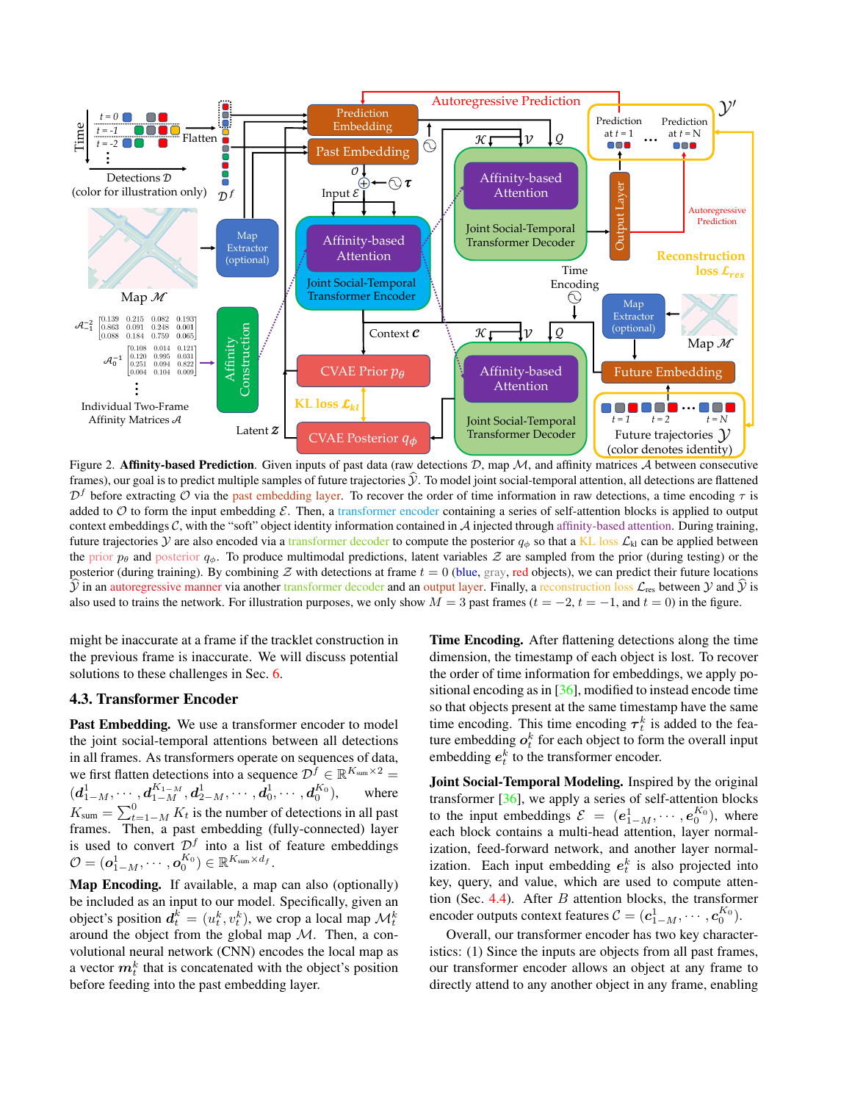

Figure 2. Affinity-based Prediction. Given inputs of past data (raw detections  $D$ , map  $M$ , and affinity matrices  $A$  between consecutive frames), our goal is to predict multiple samples of future trajectories  $\hat{y}$ . To model joint social-temporal attention, all detections are flattened  $\mathcal{D}^f$  before extracting  $\mathcal O$  via the past embedding layer. To recover the order of time information in raw detections, a time encoding  $\tau$  is added to  $\mathcal O$  to form the input embedding  $\mathcal E$ . Then, a transformer encoder containing a series of self-attention blocks is applied to output context embeddings  $C$ , with the "soft" object identity information contained in  $A$  injected through affinity-based attention. During training, future trajectories Y are also encoded via a transformer decoder to compute the posterior  $q_{\phi}$  so that a KL loss  $\mathcal{L}_{kl}$  can be applied between the prior  $p_\theta$  and posterior  $q_\phi$ . To produce multimodal predictions, latent variables  $\mathcal Z$  are sampled from the prior (during testing) or the posterior (during training). By combining  $Z$  with detections at frame  $t = 0$  (blue, gray, red objects), we can predict their future locations  $\hat{y}$  in an autoregressive manner via another transformer decoder and an output layer. Finally, a reconstruction loss  $\mathcal{L}_{res}$  between  $y$  and  $\hat{y}$  is also used to trains the network. For illustration purposes, we only show  $M = 3$  past frames ( $t = -2$ ,  $t = -1$ , and  $t = 0$ ) in the figure.

might be inaccurate at a frame if the tracklet construction in the previous frame is inaccurate. We will discuss potential solutions to these challenges in Sec. 6.

## 4.3. Transformer Encoder

Past Embedding. We use a transformer encoder to model the joint social-temporal attentions between all detections in all frames. As transformers operate on sequences of data, we first flatten detections into a sequence  $\mathcal{D}^f \in \mathbb{R}^{K_{\text{sum}} \times 2}$  $(\boldsymbol{d}_{1-M}^1, \cdots, \boldsymbol{d}_{1-M}^{K_{1-M}}, \boldsymbol{d}_{2-M}^1, \cdots, \boldsymbol{d}_{0}^1, \cdots, \boldsymbol{d}_{0}^{K_0}),$  where  $K_{\text{sum}} = \sum_{t=1-M}^{0} K_t$  is the number of detections in all past frames. Then, a past embedding (fully-connected) layer is used to convert  $\mathcal{D}^f$  into a list of feature embeddings  $\mathcal{O} = (\boldsymbol{o}_{1-M}^1, \cdots, \boldsymbol{o}_0^{K_0}) \in \mathbb{R}^{K_{\text{sum}} \times d_f}.$ 

Map Encoding. If available, a map can also (optionally) be included as an input to our model. Specifically, given an object's position  $d_t^k = (u_t^k, v_t^k)$ , we crop a local map  $\mathcal{M}_t^k$ around the object from the global map  $M$ . Then, a convolutional neural network (CNN) encodes the local map as a vector  $m_t^k$  that is concatenated with the object's position before feeding into the past embedding layer.

Time Encoding. After flattening detections along the time dimension, the timestamp of each object is lost. To recover the order of time information for embeddings, we apply positional encoding as in [36], modified to instead encode time so that objects present at the same timestamp have the same time encoding. This time encoding  $\tau_t^k$  is added to the feature embedding  $o_t^k$  for each object to form the overall input embedding  $e_t^k$  to the transformer encoder.

Joint Social-Temporal Modeling. Inspired by the original transformer [36], we apply a series of self-attention blocks to the input embeddings  $\mathcal{E} = (e_{1-M}^1, \dots, e_0^{K_0}),$  where each block contains a multi-head attention, layer normalization, feed-forward network, and another layer normalization. Each input embedding  $e_t^k$  is also projected into key, query, and value, which are used to compute attention (Sec. 4.4). After  $B$  attention blocks, the transformer encoder outputs context features  $\mathcal{C} = (\boldsymbol{c}_{1-M}^1, \cdots, \boldsymbol{c}_0^{K_0}).$ 

Overall, our transformer encoder has two key characteristics: (1) Since the inputs are objects from all past frames, our transformer encoder allows an object at any frame to directly attend to any another object in any frame, enabling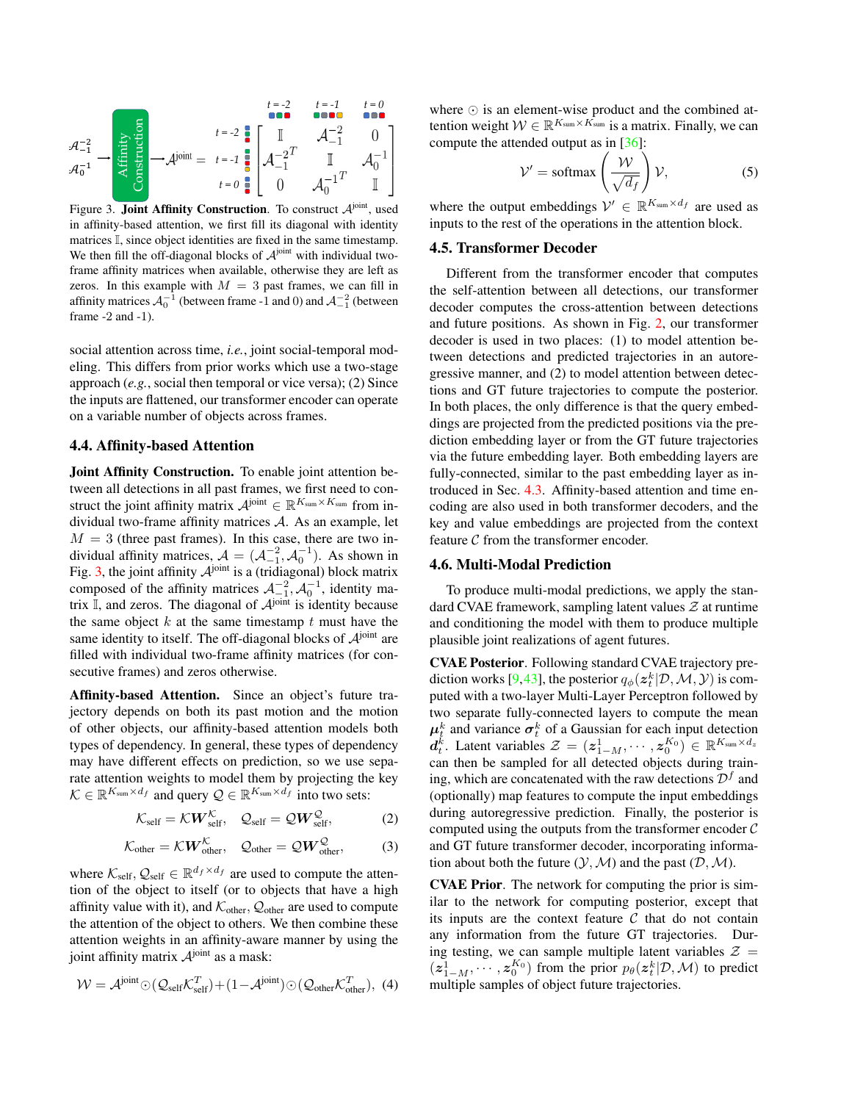

Figure 3. **Joint Affinity Construction**. To construct  $A<sup>joint</sup>$ , used in affinity-based attention, we first fill its diagonal with identity matrices I, since object identities are fixed in the same timestamp. We then fill the off-diagonal blocks of  $A<sup>joint</sup>$  with individual twoframe affinity matrices when available, otherwise they are left as zeros. In this example with  $M = 3$  past frames, we can fill in affinity matrices  $A_0^{-1}$  (between frame -1 and 0) and  $A_{-1}^{-2}$  (between frame -2 and -1).

social attention across time, *i.e.*, joint social-temporal modeling. This differs from prior works which use a two-stage approach (*e.g.*, social then temporal or vice versa); (2) Since the inputs are flattened, our transformer encoder can operate on a variable number of objects across frames.

#### 4.4. Affinity-based Attention

Joint Affinity Construction. To enable joint attention between all detections in all past frames, we first need to construct the joint affinity matrix  $\mathcal{A}^{\text{joint}} \in \mathbb{R}^{K_{\text{sum}} \times K_{\text{sum}}}$  from individual two-frame affinity matrices A. As an example, let  $M = 3$  (three past frames). In this case, there are two individual affinity matrices,  $A = (A_{-1}^{-2}, A_0^{-1})$ . As shown in Fig. 3, the joint affinity  $A<sup>joint</sup>$  is a (tridiagonal) block matrix composed of the affinity matrices  $\mathcal{A}_{-1}^{-2}$ ,  $\mathcal{A}_0^{-1}$ , identity matrix  $\overline{\mathbb{I}}$ , and zeros. The diagonal of  $\mathcal{A}^{\text{joint}}$  is identity because the same object  $k$  at the same timestamp  $t$  must have the same identity to itself. The off-diagonal blocks of  $A<sup>joint</sup>$  are filled with individual two-frame affinity matrices (for consecutive frames) and zeros otherwise.

Affinity-based Attention. Since an object's future trajectory depends on both its past motion and the motion of other objects, our affinity-based attention models both types of dependency. In general, these types of dependency may have different effects on prediction, so we use separate attention weights to model them by projecting the key  $\mathcal{K} \in \mathbb{R}^{K_{\text{sum}} \times d_f}$  and query  $\mathcal{Q} \in \mathbb{R}^{K_{\text{sum}} \times d_f}$  into two sets:

$$
\mathcal{K}_{\text{self}} = \mathcal{K} \mathbf{W}_{\text{self}}^{\mathcal{K}}, \quad \mathcal{Q}_{\text{self}} = \mathcal{Q} \mathbf{W}_{\text{self}}^{\mathcal{Q}}, \tag{2}
$$

$$
\mathcal{K}_{\text{other}} = \mathcal{K} \mathbf{W}_{\text{other}}^{\mathcal{K}}, \quad \mathcal{Q}_{\text{other}} = \mathcal{Q} \mathbf{W}_{\text{other}}^{\mathcal{Q}}, \tag{3}
$$

where  $\mathcal{K}_{\text{self}}$ ,  $\mathcal{Q}_{\text{self}} \in \mathbb{R}^{d_f \times d_f}$  are used to compute the attention of the object to itself (or to objects that have a high affinity value with it), and  $\mathcal{K}_{other}$ ,  $\mathcal{Q}_{other}$  are used to compute the attention of the object to others. We then combine these attention weights in an affinity-aware manner by using the joint affinity matrix  $A<sup>joint</sup>$  as a mask:

$$
W = \mathcal{A}^{\text{joint}} \odot (\mathcal{Q}_{\text{self}} \mathcal{K}_{\text{self}}^T) + (1 - \mathcal{A}^{\text{joint}}) \odot (\mathcal{Q}_{\text{other}} \mathcal{K}_{\text{other}}^T), (4)
$$

where ⊙ is an element-wise product and the combined attention weight  $W \in \mathbb{R}^{K_{\text{sum}} \times \hat{K_{\text{sum}}}}$  is a matrix. Finally, we can compute the attended output as in [36]:

$$
\mathcal{V}' = \text{softmax}\left(\frac{\mathcal{W}}{\sqrt{d_f}}\right) \mathcal{V},\tag{5}
$$

where the output embeddings  $V' \in \mathbb{R}^{K_{\text{sum}} \times d_f}$  are used as inputs to the rest of the operations in the attention block.

## 4.5. Transformer Decoder

Different from the transformer encoder that computes the self-attention between all detections, our transformer decoder computes the cross-attention between detections and future positions. As shown in Fig. 2, our transformer decoder is used in two places: (1) to model attention between detections and predicted trajectories in an autoregressive manner, and (2) to model attention between detections and GT future trajectories to compute the posterior. In both places, the only difference is that the query embeddings are projected from the predicted positions via the prediction embedding layer or from the GT future trajectories via the future embedding layer. Both embedding layers are fully-connected, similar to the past embedding layer as introduced in Sec. 4.3. Affinity-based attention and time encoding are also used in both transformer decoders, and the key and value embeddings are projected from the context feature  $C$  from the transformer encoder.

#### 4.6. Multi-Modal Prediction

To produce multi-modal predictions, we apply the standard CVAE framework, sampling latent values  $\mathcal Z$  at runtime and conditioning the model with them to produce multiple plausible joint realizations of agent futures.

CVAE Posterior. Following standard CVAE trajectory prediction works [9,43], the posterior  $q_{\phi}(\boldsymbol{z}_{t}^{k}|\mathcal{D},\mathcal{M},\mathcal{Y})$  is computed with a two-layer Multi-Layer Perceptron followed by two separate fully-connected layers to compute the mean  $\mu_t^k$  and variance  $\sigma_t^k$  of a Gaussian for each input detection  $d_t^k$ . Latent variables  $\mathcal{Z} = (z_{1-M}^1, \cdots, z_0^{K_0}) \in \mathbb{R}^{K_{\text{sum}} \times d_z}$ can then be sampled for all detected objects during training, which are concatenated with the raw detections  $\mathcal{D}^f$  and (optionally) map features to compute the input embeddings during autoregressive prediction. Finally, the posterior is computed using the outputs from the transformer encoder  $\mathcal C$ and GT future transformer decoder, incorporating information about both the future  $(Y, M)$  and the past  $(D, M)$ .

CVAE Prior. The network for computing the prior is similar to the network for computing posterior, except that its inputs are the context feature  $C$  that do not contain any information from the future GT trajectories. During testing, we can sample multiple latent variables  $\mathcal{Z} =$  $(z_{1-M}^1, \dots, z_0^{K_0})$  from the prior  $p_\theta(z_t^k | \mathcal{D}, \mathcal{M})$  to predict multiple samples of object future trajectories.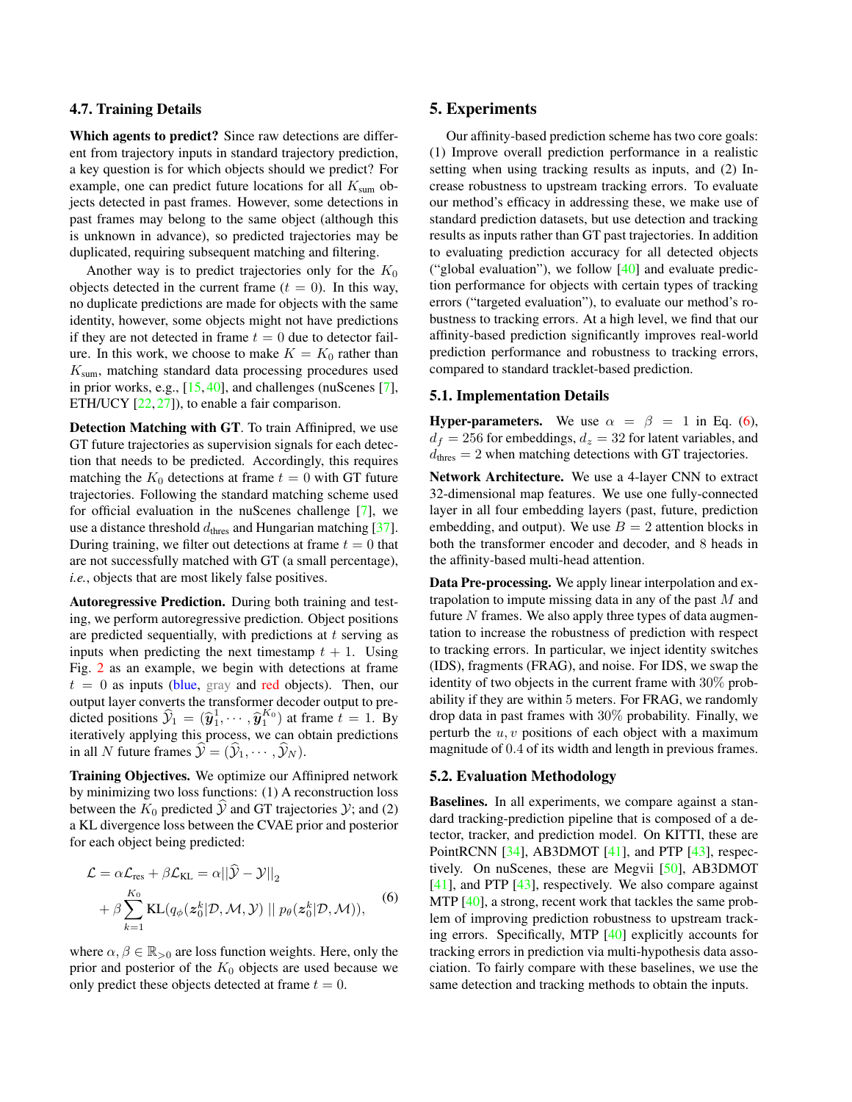#### 4.7. Training Details

Which agents to predict? Since raw detections are different from trajectory inputs in standard trajectory prediction, a key question is for which objects should we predict? For example, one can predict future locations for all  $K_{\text{sum}}$  objects detected in past frames. However, some detections in past frames may belong to the same object (although this is unknown in advance), so predicted trajectories may be duplicated, requiring subsequent matching and filtering.

Another way is to predict trajectories only for the  $K_0$ objects detected in the current frame  $(t = 0)$ . In this way, no duplicate predictions are made for objects with the same identity, however, some objects might not have predictions if they are not detected in frame  $t = 0$  due to detector failure. In this work, we choose to make  $K = K_0$  rather than  $K<sub>sum</sub>$ , matching standard data processing procedures used in prior works, e.g., [15, 40], and challenges (nuScenes [7], ETH/UCY [22, 27]), to enable a fair comparison.

Detection Matching with GT. To train Affinipred, we use GT future trajectories as supervision signals for each detection that needs to be predicted. Accordingly, this requires matching the  $K_0$  detections at frame  $t = 0$  with GT future trajectories. Following the standard matching scheme used for official evaluation in the nuScenes challenge [7], we use a distance threshold  $d_{\text{thres}}$  and Hungarian matching [37]. During training, we filter out detections at frame  $t = 0$  that are not successfully matched with GT (a small percentage), *i.e.*, objects that are most likely false positives.

Autoregressive Prediction. During both training and testing, we perform autoregressive prediction. Object positions are predicted sequentially, with predictions at  $t$  serving as inputs when predicting the next timestamp  $t + 1$ . Using Fig. 2 as an example, we begin with detections at frame  $t = 0$  as inputs (blue, gray and red objects). Then, our output layer converts the transformer decoder output to predicted positions  $\hat{\mathcal{Y}}_1 = (\hat{y}_1^1, \dots, \hat{y}_1^{K_0})$  at frame  $t = 1$ . By iteratively applying this process, we can obtain predictions in all N future frames  $\mathcal{Y} = (\mathcal{Y}_1, \cdots, \mathcal{Y}_N)$ .

Training Objectives. We optimize our Affinipred network by minimizing two loss functions: (1) A reconstruction loss between the  $K_0$  predicted  $Y$  and GT trajectories  $Y$ ; and (2) a KL divergence loss between the CVAE prior and posterior for each object being predicted:

$$
\mathcal{L} = \alpha \mathcal{L}_{\text{res}} + \beta \mathcal{L}_{\text{KL}} = \alpha ||\hat{\mathcal{Y}} - \mathcal{Y}||_2
$$
  
+  $\beta \sum_{k=1}^{K_0} \text{KL}(q_{\phi}(z_0^k | \mathcal{D}, \mathcal{M}, \mathcal{Y}) || p_{\theta}(z_0^k | \mathcal{D}, \mathcal{M})),$  (6)

where  $\alpha, \beta \in \mathbb{R}_{>0}$  are loss function weights. Here, only the prior and posterior of the  $K_0$  objects are used because we only predict these objects detected at frame  $t = 0$ .

## 5. Experiments

Our affinity-based prediction scheme has two core goals: (1) Improve overall prediction performance in a realistic setting when using tracking results as inputs, and (2) Increase robustness to upstream tracking errors. To evaluate our method's efficacy in addressing these, we make use of standard prediction datasets, but use detection and tracking results as inputs rather than GT past trajectories. In addition to evaluating prediction accuracy for all detected objects ("global evaluation"), we follow [40] and evaluate prediction performance for objects with certain types of tracking errors ("targeted evaluation"), to evaluate our method's robustness to tracking errors. At a high level, we find that our affinity-based prediction significantly improves real-world prediction performance and robustness to tracking errors, compared to standard tracklet-based prediction.

## 5.1. Implementation Details

**Hyper-parameters.** We use  $\alpha = \beta = 1$  in Eq. (6),  $d_f = 256$  for embeddings,  $d_z = 32$  for latent variables, and  $d_{\text{thres}} = 2$  when matching detections with GT trajectories.

Network Architecture. We use a 4-layer CNN to extract 32-dimensional map features. We use one fully-connected layer in all four embedding layers (past, future, prediction embedding, and output). We use  $B = 2$  attention blocks in both the transformer encoder and decoder, and 8 heads in the affinity-based multi-head attention.

Data Pre-processing. We apply linear interpolation and extrapolation to impute missing data in any of the past M and future  $N$  frames. We also apply three types of data augmentation to increase the robustness of prediction with respect to tracking errors. In particular, we inject identity switches (IDS), fragments (FRAG), and noise. For IDS, we swap the identity of two objects in the current frame with 30% probability if they are within 5 meters. For FRAG, we randomly drop data in past frames with 30% probability. Finally, we perturb the  $u, v$  positions of each object with a maximum magnitude of 0.4 of its width and length in previous frames.

## 5.2. Evaluation Methodology

Baselines. In all experiments, we compare against a standard tracking-prediction pipeline that is composed of a detector, tracker, and prediction model. On KITTI, these are PointRCNN [34], AB3DMOT [41], and PTP [43], respectively. On nuScenes, these are Megvii [50], AB3DMOT [41], and PTP [43], respectively. We also compare against MTP [40], a strong, recent work that tackles the same problem of improving prediction robustness to upstream tracking errors. Specifically, MTP [40] explicitly accounts for tracking errors in prediction via multi-hypothesis data association. To fairly compare with these baselines, we use the same detection and tracking methods to obtain the inputs.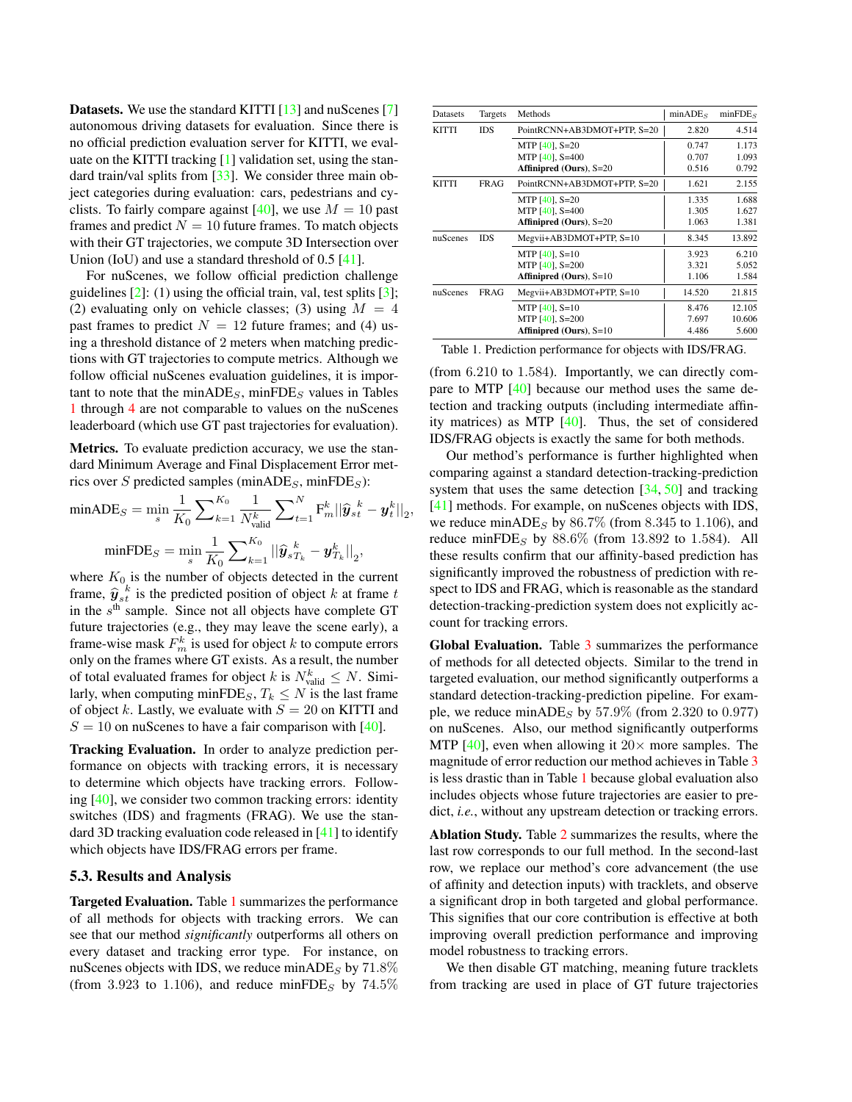Datasets. We use the standard KITTI [13] and nuScenes [7] autonomous driving datasets for evaluation. Since there is no official prediction evaluation server for KITTI, we evaluate on the KITTI tracking [1] validation set, using the standard train/val splits from [33]. We consider three main object categories during evaluation: cars, pedestrians and cyclists. To fairly compare against [40], we use  $M = 10$  past frames and predict  $N = 10$  future frames. To match objects with their GT trajectories, we compute 3D Intersection over Union (IoU) and use a standard threshold of 0.5 [41].

For nuScenes, we follow official prediction challenge guidelines  $[2]$ : (1) using the official train, val, test splits  $[3]$ ; (2) evaluating only on vehicle classes; (3) using  $M = 4$ past frames to predict  $N = 12$  future frames; and (4) using a threshold distance of 2 meters when matching predictions with GT trajectories to compute metrics. Although we follow official nuScenes evaluation guidelines, it is important to note that the min $ADE_S$ , min $FDE_S$  values in Tables 1 through 4 are not comparable to values on the nuScenes leaderboard (which use GT past trajectories for evaluation).

Metrics. To evaluate prediction accuracy, we use the standard Minimum Average and Final Displacement Error metrics over S predicted samples (minADE<sub>S</sub>, minFDE<sub>S</sub>):

$$
\begin{aligned}\n\min ADE_S &= \min_s \frac{1}{K_0} \sum_{k=1}^{K_0} \frac{1}{N_{\text{valid}}^k} \sum_{t=1}^N \mathbf{F}_m^k \|\hat{\mathbf{y}}_{st}^k - \mathbf{y}_t^k\|_2, \\
\min FDE_S &= \min_s \frac{1}{K_0} \sum_{k=1}^{K_0} \|\hat{\mathbf{y}}_{sT_k}^k - \mathbf{y}_{T_k}^k\|_2,\n\end{aligned}
$$

where  $K_0$  is the number of objects detected in the current frame,  $\hat{y}_{s}^{k}$  is the predicted position of object k at frame t<br>in the s<sup>th</sup> sample. Since not all objects have complete GT in the  $s<sup>th</sup>$  sample. Since not all objects have complete GT future trajectories (e.g., they may leave the scene early), a frame-wise mask  $F_m^k$  is used for object k to compute errors only on the frames where GT exists. As a result, the number of total evaluated frames for object k is  $N_{\text{valid}}^k \leq N$ . Similarly, when computing minFDE<sub>S</sub>,  $T_k \leq N$  is the last frame of object k. Lastly, we evaluate with  $S = 20$  on KITTI and  $S = 10$  on nuScenes to have a fair comparison with [40].

Tracking Evaluation. In order to analyze prediction performance on objects with tracking errors, it is necessary to determine which objects have tracking errors. Following [40], we consider two common tracking errors: identity switches (IDS) and fragments (FRAG). We use the standard 3D tracking evaluation code released in [41] to identify which objects have IDS/FRAG errors per frame.

## 5.3. Results and Analysis

Targeted Evaluation. Table 1 summarizes the performance of all methods for objects with tracking errors. We can see that our method *significantly* outperforms all others on every dataset and tracking error type. For instance, on nuScenes objects with IDS, we reduce minADE<sub>S</sub> by  $71.8\%$ (from 3.923 to 1.106), and reduce minFDE<sub>S</sub> by  $74.5\%$ 

| Datasets     | Targets                          | Methods                        | minADE <sub>S</sub> | minFDE <sub>S</sub> |
|--------------|----------------------------------|--------------------------------|---------------------|---------------------|
| <b>KITTI</b> | <b>IDS</b>                       | PointRCNN+AB3DMOT+PTP, S=20    | 2.820               | 4.514               |
|              |                                  | MTP $[40]$ , S=20              | 0.747               | 1.173               |
|              |                                  | MTP $[40]$ , S=400             | 0.707               | 1.093               |
|              |                                  | <b>Affinipred (Ours), S=20</b> | 0.516               | 0.792               |
| <b>KITTI</b> | FRAG                             | PointRCNN+AB3DMOT+PTP, S=20    | 1.621               | 2.155               |
|              |                                  | MTP $[40]$ , S=20              | 1.335               | 1.688               |
|              |                                  | MTP $[40]$ , S=400             | 1.305               | 1.627               |
|              |                                  | Affinipred (Ours), S=20        | 1.063               | 1.381               |
| nuScenes     | <b>IDS</b>                       | Megvii+AB3DMOT+PTP, S=10       | 8.345               | 13.892              |
|              |                                  | MTP $[40]$ , S=10              | 3.923               | 6.210               |
|              |                                  | MTP $[40]$ , S=200             | 3.321               | 5.052               |
|              |                                  | Affinipred (Ours), $S=10$      | 1.106               | 1.584               |
| nuScenes     | Megvii+AB3DMOT+PTP, S=10<br>FRAG |                                | 14.520              | 21.815              |
|              |                                  | MTP $[40]$ , S=10              | 8.476               | 12.105              |
|              |                                  | MTP $[40]$ , S=200             | 7.697               | 10.606              |
|              |                                  | Affinipred (Ours), $S=10$      | 4.486               | 5.600               |

Table 1. Prediction performance for objects with IDS/FRAG.

(from 6.210 to 1.584). Importantly, we can directly compare to MTP [40] because our method uses the same detection and tracking outputs (including intermediate affinity matrices) as MTP [40]. Thus, the set of considered IDS/FRAG objects is exactly the same for both methods.

Our method's performance is further highlighted when comparing against a standard detection-tracking-prediction system that uses the same detection [34, 50] and tracking [41] methods. For example, on nuScenes objects with IDS, we reduce minADE<sub>S</sub> by  $86.7\%$  (from 8.345 to 1.106), and reduce minFDE<sub>S</sub> by  $88.6\%$  (from 13.892 to 1.584). All these results confirm that our affinity-based prediction has significantly improved the robustness of prediction with respect to IDS and FRAG, which is reasonable as the standard detection-tracking-prediction system does not explicitly account for tracking errors.

Global Evaluation. Table 3 summarizes the performance of methods for all detected objects. Similar to the trend in targeted evaluation, our method significantly outperforms a standard detection-tracking-prediction pipeline. For example, we reduce minADE<sub>S</sub> by 57.9% (from 2.320 to 0.977) on nuScenes. Also, our method significantly outperforms MTP [40], even when allowing it  $20 \times$  more samples. The magnitude of error reduction our method achieves in Table 3 is less drastic than in Table 1 because global evaluation also includes objects whose future trajectories are easier to predict, *i.e.*, without any upstream detection or tracking errors.

Ablation Study. Table 2 summarizes the results, where the last row corresponds to our full method. In the second-last row, we replace our method's core advancement (the use of affinity and detection inputs) with tracklets, and observe a significant drop in both targeted and global performance. This signifies that our core contribution is effective at both improving overall prediction performance and improving model robustness to tracking errors.

We then disable GT matching, meaning future tracklets from tracking are used in place of GT future trajectories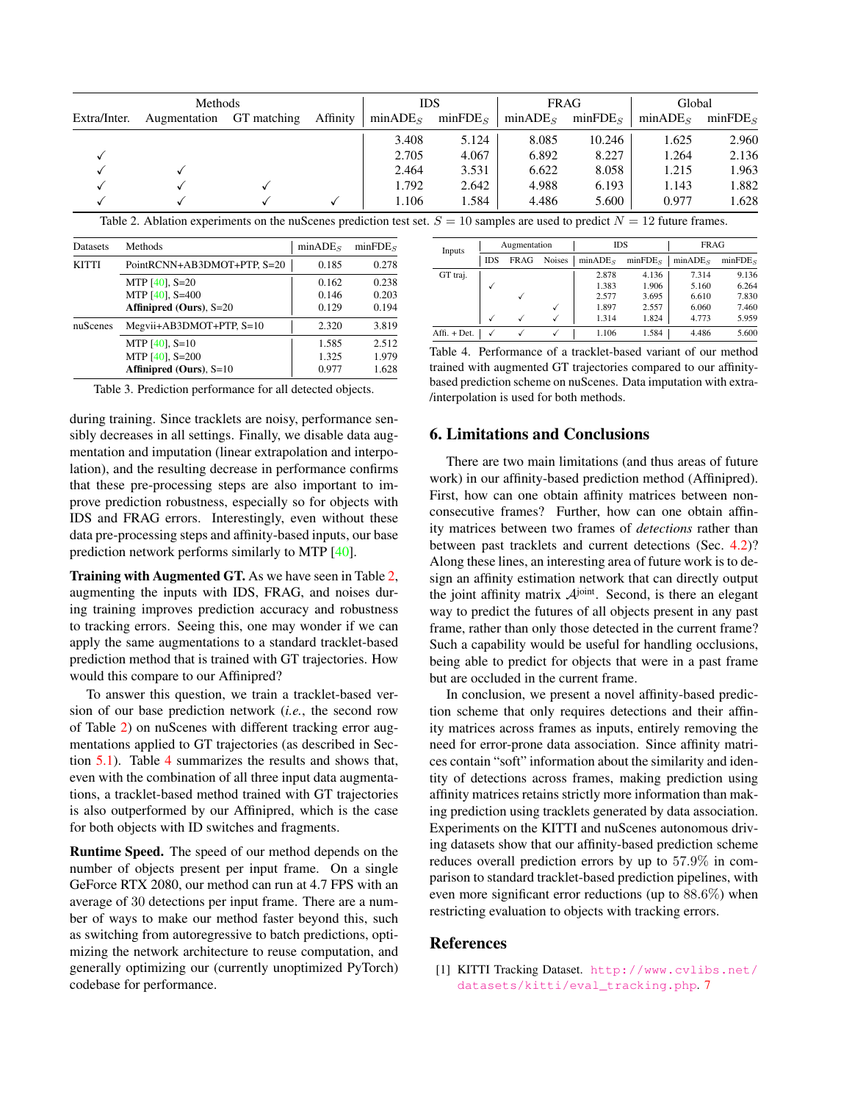| <b>Methods</b> |              |             |          | <b>IDS</b>          |                     | <b>FRAG</b>         |                     | Global              |                     |
|----------------|--------------|-------------|----------|---------------------|---------------------|---------------------|---------------------|---------------------|---------------------|
| Extra/Inter.   | Augmentation | GT matching | Affinity | minADE <sub>S</sub> | minFDE <sub>S</sub> | minADE <sub>S</sub> | minFDE <sub>S</sub> | minADE <sub>S</sub> | minFDE <sub>S</sub> |
|                |              |             |          | 3.408               | 5.124               | 8.085               | 10.246              | 1.625               | 2.960               |
|                |              |             |          | 2.705               | 4.067               | 6.892               | 8.227               | 1.264               | 2.136               |
|                |              |             |          | 2.464               | 3.531               | 6.622               | 8.058               | 1.215               | 1.963               |
|                |              |             |          | 1.792               | 2.642               | 4.988               | 6.193               | 1.143               | 1.882               |
|                |              |             |          | 1.106               | l.584               | 4.486               | 5.600               | 0.977               | 1.628               |

Table 2. Ablation experiments on the nuScenes prediction test set.  $S = 10$  samples are used to predict  $N = 12$  future frames.

| <b>Datasets</b> | <b>Methods</b>                 | $minADE_s$ | minFDE <sub>s</sub> |
|-----------------|--------------------------------|------------|---------------------|
| <b>KITTI</b>    | PointRCNN+AB3DMOT+PTP, S=20    | 0.185      | 0.278               |
|                 | MTP $[40]$ , S=20              | 0.162      | 0.238               |
|                 | MTP $[40]$ , S=400             | 0.146      | 0.203               |
|                 | <b>Affinipred (Ours), S=20</b> | 0.129      | 0.194               |
| nuScenes        | Megvii+AB3DMOT+PTP, S=10       | 2.320      | 3.819               |
|                 | MTP $[40]$ , S=10              | 1.585      | 2.512               |
|                 | MTP $[40]$ , S=200             | 1.325      | 1.979               |
|                 | Affinipred (Ours), $S=10$      | 0.977      | 1.628               |

Table 3. Prediction performance for all detected objects.

during training. Since tracklets are noisy, performance sensibly decreases in all settings. Finally, we disable data augmentation and imputation (linear extrapolation and interpolation), and the resulting decrease in performance confirms that these pre-processing steps are also important to improve prediction robustness, especially so for objects with IDS and FRAG errors. Interestingly, even without these data pre-processing steps and affinity-based inputs, our base prediction network performs similarly to MTP [40].

Training with Augmented GT. As we have seen in Table 2, augmenting the inputs with IDS, FRAG, and noises during training improves prediction accuracy and robustness to tracking errors. Seeing this, one may wonder if we can apply the same augmentations to a standard tracklet-based prediction method that is trained with GT trajectories. How would this compare to our Affinipred?

To answer this question, we train a tracklet-based version of our base prediction network (*i.e.*, the second row of Table 2) on nuScenes with different tracking error augmentations applied to GT trajectories (as described in Section 5.1). Table 4 summarizes the results and shows that, even with the combination of all three input data augmentations, a tracklet-based method trained with GT trajectories is also outperformed by our Affinipred, which is the case for both objects with ID switches and fragments.

Runtime Speed. The speed of our method depends on the number of objects present per input frame. On a single GeForce RTX 2080, our method can run at 4.7 FPS with an average of 30 detections per input frame. There are a number of ways to make our method faster beyond this, such as switching from autoregressive to batch predictions, optimizing the network architecture to reuse computation, and generally optimizing our (currently unoptimized PyTorch) codebase for performance.

| Inputs       | Augmentation |      |               | <b>IDS</b>          |                     | <b>FRAG</b>         |                     |
|--------------|--------------|------|---------------|---------------------|---------------------|---------------------|---------------------|
|              | <b>IDS</b>   | FRAG | <b>Noises</b> | minADE <sub>S</sub> | minFDE <sub>g</sub> | minADE <sub>s</sub> | minFDE <sub>S</sub> |
| GT traj.     |              |      |               | 2.878               | 4.136               | 7.314               | 9.136               |
|              |              |      |               | 1.383               | 1.906               | 5.160               | 6.264               |
|              |              |      |               | 2.577               | 3.695               | 6.610               | 7.830               |
|              |              |      |               | 1.897               | 2.557               | 6.060               | 7.460               |
|              |              |      |               | 1.314               | 1.824               | 4.773               | 5.959               |
| Affi. + Det. |              |      |               | 1.106               | 1.584               | 4.486               | 5.600               |

Table 4. Performance of a tracklet-based variant of our method trained with augmented GT trajectories compared to our affinitybased prediction scheme on nuScenes. Data imputation with extra- /interpolation is used for both methods.

## 6. Limitations and Conclusions

There are two main limitations (and thus areas of future work) in our affinity-based prediction method (Affinipred). First, how can one obtain affinity matrices between nonconsecutive frames? Further, how can one obtain affinity matrices between two frames of *detections* rather than between past tracklets and current detections (Sec. 4.2)? Along these lines, an interesting area of future work is to design an affinity estimation network that can directly output the joint affinity matrix  $A<sup>joint</sup>$ . Second, is there an elegant way to predict the futures of all objects present in any past frame, rather than only those detected in the current frame? Such a capability would be useful for handling occlusions, being able to predict for objects that were in a past frame but are occluded in the current frame.

In conclusion, we present a novel affinity-based prediction scheme that only requires detections and their affinity matrices across frames as inputs, entirely removing the need for error-prone data association. Since affinity matrices contain "soft" information about the similarity and identity of detections across frames, making prediction using affinity matrices retains strictly more information than making prediction using tracklets generated by data association. Experiments on the KITTI and nuScenes autonomous driving datasets show that our affinity-based prediction scheme reduces overall prediction errors by up to 57.9% in comparison to standard tracklet-based prediction pipelines, with even more significant error reductions (up to 88.6%) when restricting evaluation to objects with tracking errors.

#### References

[1] KITTI Tracking Dataset. http://www.cvlibs.net/ datasets/kitti/eval\_tracking.php. 7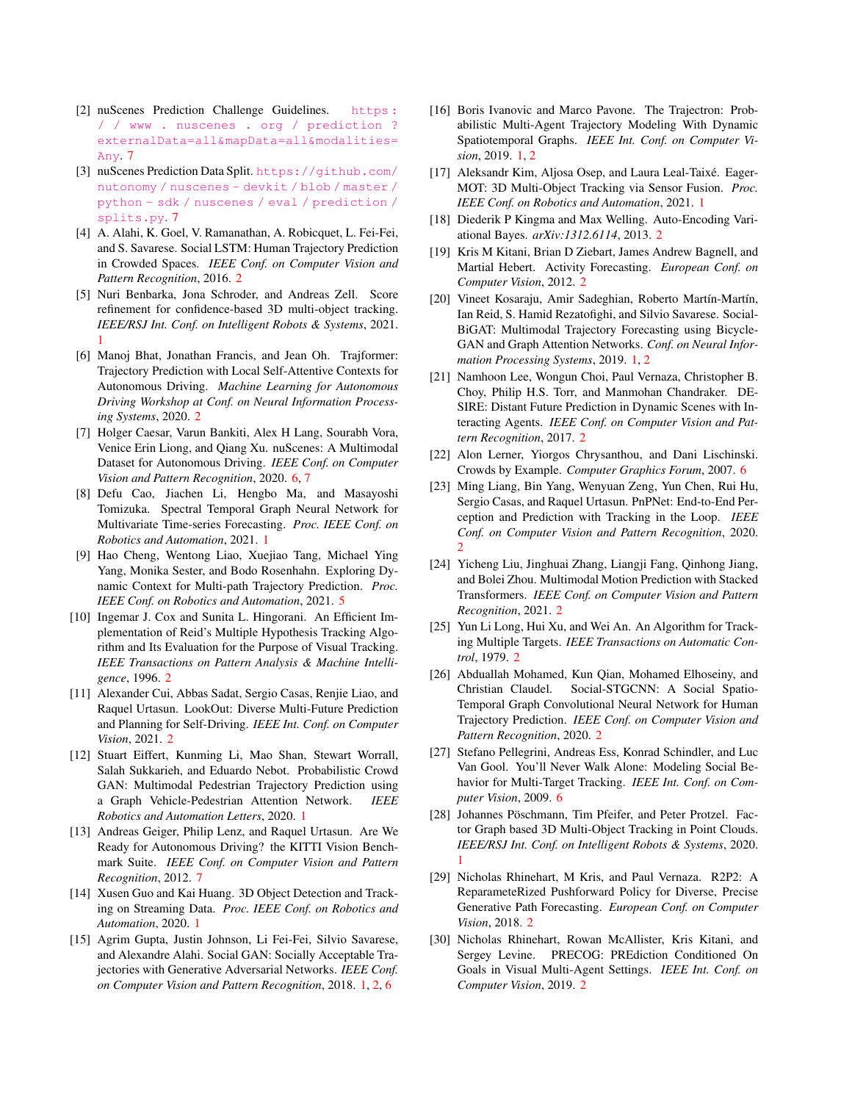- [2] nuScenes Prediction Challenge Guidelines. https : / / www . nuscenes . org / prediction ? externalData=all&mapData=all&modalities= Any. 7
- [3] nuScenes Prediction Data Split. https://github.com/ nutonomy / nuscenes - devkit / blob / master / python - sdk / nuscenes / eval / prediction / splits.py. 7
- [4] A. Alahi, K. Goel, V. Ramanathan, A. Robicquet, L. Fei-Fei, and S. Savarese. Social LSTM: Human Trajectory Prediction in Crowded Spaces. *IEEE Conf. on Computer Vision and Pattern Recognition*, 2016. 2
- [5] Nuri Benbarka, Jona Schroder, and Andreas Zell. Score refinement for confidence-based 3D multi-object tracking. *IEEE/RSJ Int. Conf. on Intelligent Robots & Systems*, 2021. 1
- [6] Manoj Bhat, Jonathan Francis, and Jean Oh. Trajformer: Trajectory Prediction with Local Self-Attentive Contexts for Autonomous Driving. *Machine Learning for Autonomous Driving Workshop at Conf. on Neural Information Processing Systems*, 2020. 2
- [7] Holger Caesar, Varun Bankiti, Alex H Lang, Sourabh Vora, Venice Erin Liong, and Qiang Xu. nuScenes: A Multimodal Dataset for Autonomous Driving. *IEEE Conf. on Computer Vision and Pattern Recognition*, 2020. 6, 7
- [8] Defu Cao, Jiachen Li, Hengbo Ma, and Masayoshi Tomizuka. Spectral Temporal Graph Neural Network for Multivariate Time-series Forecasting. *Proc. IEEE Conf. on Robotics and Automation*, 2021. 1
- [9] Hao Cheng, Wentong Liao, Xuejiao Tang, Michael Ying Yang, Monika Sester, and Bodo Rosenhahn. Exploring Dynamic Context for Multi-path Trajectory Prediction. *Proc. IEEE Conf. on Robotics and Automation*, 2021. 5
- [10] Ingemar J. Cox and Sunita L. Hingorani. An Efficient Implementation of Reid's Multiple Hypothesis Tracking Algorithm and Its Evaluation for the Purpose of Visual Tracking. *IEEE Transactions on Pattern Analysis & Machine Intelligence*, 1996. 2
- [11] Alexander Cui, Abbas Sadat, Sergio Casas, Renjie Liao, and Raquel Urtasun. LookOut: Diverse Multi-Future Prediction and Planning for Self-Driving. *IEEE Int. Conf. on Computer Vision*, 2021. 2
- [12] Stuart Eiffert, Kunming Li, Mao Shan, Stewart Worrall, Salah Sukkarieh, and Eduardo Nebot. Probabilistic Crowd GAN: Multimodal Pedestrian Trajectory Prediction using a Graph Vehicle-Pedestrian Attention Network. *IEEE Robotics and Automation Letters*, 2020. 1
- [13] Andreas Geiger, Philip Lenz, and Raquel Urtasun. Are We Ready for Autonomous Driving? the KITTI Vision Benchmark Suite. *IEEE Conf. on Computer Vision and Pattern Recognition*, 2012. 7
- [14] Xusen Guo and Kai Huang. 3D Object Detection and Tracking on Streaming Data. *Proc. IEEE Conf. on Robotics and Automation*, 2020. 1
- [15] Agrim Gupta, Justin Johnson, Li Fei-Fei, Silvio Savarese, and Alexandre Alahi. Social GAN: Socially Acceptable Trajectories with Generative Adversarial Networks. *IEEE Conf. on Computer Vision and Pattern Recognition*, 2018. 1, 2, 6
- [16] Boris Ivanovic and Marco Pavone. The Trajectron: Probabilistic Multi-Agent Trajectory Modeling With Dynamic Spatiotemporal Graphs. *IEEE Int. Conf. on Computer Vision*, 2019. 1, 2
- [17] Aleksandr Kim, Aljosa Osep, and Laura Leal-Taixé. Eager-MOT: 3D Multi-Object Tracking via Sensor Fusion. *Proc. IEEE Conf. on Robotics and Automation*, 2021. 1
- [18] Diederik P Kingma and Max Welling. Auto-Encoding Variational Bayes. *arXiv:1312.6114*, 2013. 2
- [19] Kris M Kitani, Brian D Ziebart, James Andrew Bagnell, and Martial Hebert. Activity Forecasting. *European Conf. on Computer Vision*, 2012. 2
- [20] Vineet Kosaraju, Amir Sadeghian, Roberto Martín-Martín, Ian Reid, S. Hamid Rezatofighi, and Silvio Savarese. Social-BiGAT: Multimodal Trajectory Forecasting using Bicycle-GAN and Graph Attention Networks. *Conf. on Neural Information Processing Systems*, 2019. 1, 2
- [21] Namhoon Lee, Wongun Choi, Paul Vernaza, Christopher B. Choy, Philip H.S. Torr, and Manmohan Chandraker. DE-SIRE: Distant Future Prediction in Dynamic Scenes with Interacting Agents. *IEEE Conf. on Computer Vision and Pattern Recognition*, 2017. 2
- [22] Alon Lerner, Yiorgos Chrysanthou, and Dani Lischinski. Crowds by Example. *Computer Graphics Forum*, 2007. 6
- [23] Ming Liang, Bin Yang, Wenyuan Zeng, Yun Chen, Rui Hu, Sergio Casas, and Raquel Urtasun. PnPNet: End-to-End Perception and Prediction with Tracking in the Loop. *IEEE Conf. on Computer Vision and Pattern Recognition*, 2020. 2
- [24] Yicheng Liu, Jinghuai Zhang, Liangji Fang, Qinhong Jiang, and Bolei Zhou. Multimodal Motion Prediction with Stacked Transformers. *IEEE Conf. on Computer Vision and Pattern Recognition*, 2021. 2
- [25] Yun Li Long, Hui Xu, and Wei An. An Algorithm for Tracking Multiple Targets. *IEEE Transactions on Automatic Control*, 1979. 2
- [26] Abduallah Mohamed, Kun Qian, Mohamed Elhoseiny, and Christian Claudel. Social-STGCNN: A Social Spatio-Temporal Graph Convolutional Neural Network for Human Trajectory Prediction. *IEEE Conf. on Computer Vision and Pattern Recognition*, 2020. 2
- [27] Stefano Pellegrini, Andreas Ess, Konrad Schindler, and Luc Van Gool. You'll Never Walk Alone: Modeling Social Behavior for Multi-Target Tracking. *IEEE Int. Conf. on Computer Vision*, 2009. 6
- [28] Johannes Pöschmann, Tim Pfeifer, and Peter Protzel. Factor Graph based 3D Multi-Object Tracking in Point Clouds. *IEEE/RSJ Int. Conf. on Intelligent Robots & Systems*, 2020. 1
- [29] Nicholas Rhinehart, M Kris, and Paul Vernaza. R2P2: A ReparameteRized Pushforward Policy for Diverse, Precise Generative Path Forecasting. *European Conf. on Computer Vision*, 2018. 2
- [30] Nicholas Rhinehart, Rowan McAllister, Kris Kitani, and Sergey Levine. PRECOG: PREdiction Conditioned On Goals in Visual Multi-Agent Settings. *IEEE Int. Conf. on Computer Vision*, 2019. 2